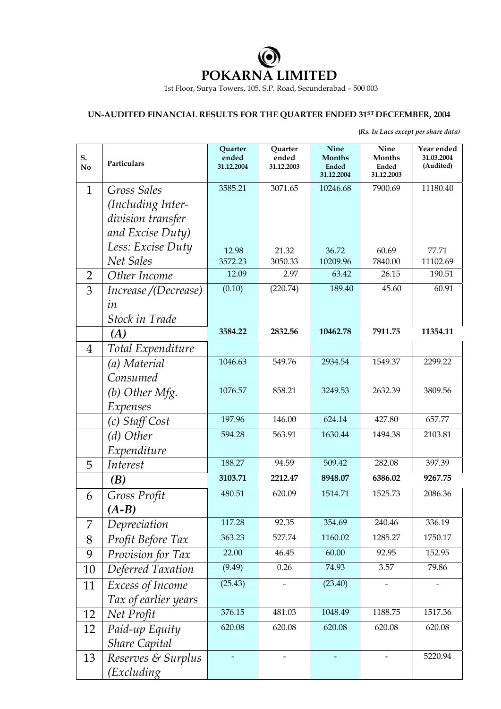

1st Floor, Surya Towers, 105, S.P. Road, Secunderabad – 500 003

## **UN-AUDITED FINANCIAL RESULTS FOR THE QUARTER ENDED 31ST DECEEMBER, 2004**

 **(***Rs. In Lacs except per share data)*

| S.<br>N <sub>0</sub> | Particulars          | Quarter<br>ended<br>31.12.2004 | Quarter<br>ended<br>31.12.2003 | Nine<br><b>Months</b><br><b>Ended</b><br>31.12.2004 | Nine<br><b>Months</b><br>Ended<br>31.12.2003 | Year ended<br>31.03.2004<br>(Audited) |
|----------------------|----------------------|--------------------------------|--------------------------------|-----------------------------------------------------|----------------------------------------------|---------------------------------------|
| $\mathbf{1}$         | Gross Sales          | 3585.21                        | 3071.65                        | 10246.68                                            | 7900.69                                      | 11180.40                              |
|                      | (Including Inter-    |                                |                                |                                                     |                                              |                                       |
|                      | division transfer    |                                |                                |                                                     |                                              |                                       |
|                      | and Excise Duty)     |                                |                                |                                                     |                                              |                                       |
|                      | Less: Excise Duty    | 12.98                          | 21.32                          | 36.72                                               | 60.69                                        | 77.71                                 |
|                      | Net Sales            | 3572.23                        | 3050.33                        | 10209.96                                            | 7840.00                                      | 11102.69                              |
| $\overline{2}$       | Other Income         | 12.09                          | 2.97                           | 63.42                                               | 26.15                                        | 190.51                                |
| 3                    | Increase /(Decrease) | (0.10)                         | (220.74)                       | 189.40                                              | 45.60                                        | 60.91                                 |
|                      | in                   |                                |                                |                                                     |                                              |                                       |
|                      | Stock in Trade       |                                |                                |                                                     |                                              |                                       |
|                      | (A)                  | 3584.22                        | 2832.56                        | 10462.78                                            | 7911.75                                      | 11354.11                              |
| $\overline{4}$       | Total Expenditure    |                                |                                |                                                     |                                              |                                       |
|                      | (a) Material         | 1046.63                        | 549.76                         | 2934.54                                             | 1549.37                                      | 2299.22                               |
|                      | Consumed             |                                |                                |                                                     |                                              |                                       |
|                      | (b) Other Mfg.       | 1076.57                        | 858.21                         | 3249.53                                             | 2632.39                                      | 3809.56                               |
|                      | Expenses             |                                |                                |                                                     |                                              |                                       |
|                      | (c) Staff Cost       | 197.96                         | 146.00                         | 624.14                                              | 427.80                                       | 657.77                                |
|                      | (d) Other            | 594.28                         | 563.91                         | 1630.44                                             | 1494.38                                      | 2103.81                               |
|                      | Expenditure          |                                |                                |                                                     |                                              |                                       |
| 5                    | Interest             | 188.27                         | 94.59                          | 509.42                                              | 282.08                                       | 397.39                                |
|                      | (B)                  | 3103.71                        | 2212.47                        | 8948.07                                             | 6386.02                                      | 9267.75                               |
| 6                    | Gross Profit         | 480.51                         | 620.09                         | 1514.71                                             | 1525.73                                      | 2086.36                               |
|                      | $(A-B)$              |                                |                                |                                                     |                                              |                                       |
| 7                    | Depreciation         | 117.28                         | 92.35                          | 354.69                                              | 240.46                                       | 336.19                                |
| 8                    | Profit Before Tax    | 363.23                         | 527.74                         | 1160.02                                             | 1285.27                                      | 1750.17                               |
| 9                    | Provision for Tax    | 22.00                          | 46.45                          | 60.00                                               | 92.95                                        | 152.95                                |
| 10                   | Deferred Taxation    | (9.49)                         | 0.26                           | 74.93                                               | 3.57                                         | 79.86                                 |
| 11                   | Excess of Income     | (25.43)                        |                                | (23.40)                                             |                                              |                                       |
|                      | Tax of earlier years |                                |                                |                                                     |                                              |                                       |
| 12                   | Net Profit           | 376.15                         | 481.03                         | 1048.49                                             | 1188.75                                      | 1517.36                               |
| 12                   | Paid-up Equity       | 620.08                         | 620.08                         | 620.08                                              | 620.08                                       | 620.08                                |
|                      | <b>Share Capital</b> |                                |                                |                                                     |                                              |                                       |
| 13                   | Reserves & Surplus   |                                |                                |                                                     |                                              | 5220.94                               |
|                      | (Excluding)          |                                |                                |                                                     |                                              |                                       |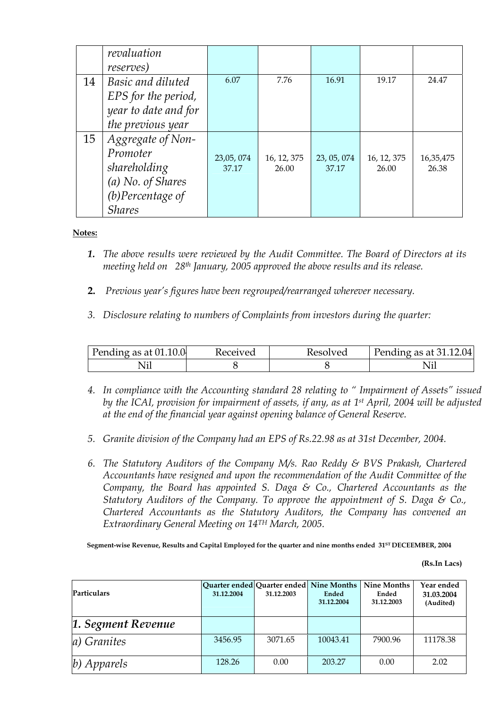|    | revaluation          |           |             |             |             |           |
|----|----------------------|-----------|-------------|-------------|-------------|-----------|
|    | <i>reserves</i> )    |           |             |             |             |           |
| 14 | Basic and diluted    | 6.07      | 7.76        | 16.91       | 19.17       | 24.47     |
|    | EPS for the period,  |           |             |             |             |           |
|    | year to date and for |           |             |             |             |           |
|    | the previous year    |           |             |             |             |           |
| 15 | Aggregate of Non-    |           |             |             |             |           |
|    | Promoter             | 23,05,074 | 16, 12, 375 | 23, 05, 074 | 16, 12, 375 | 16,35,475 |
|    | shareholding         | 37.17     | 26.00       | 37.17       | 26.00       | 26.38     |
|    | (a) No. of Shares    |           |             |             |             |           |
|    | $(b)$ Percentage of  |           |             |             |             |           |
|    | <b>Shares</b>        |           |             |             |             |           |

## **Notes:**

- *1. The above results were reviewed by the Audit Committee. The Board of Directors at its meeting held on 28th January, 2005 approved the above results and its release.*
- **2.** *Previous year's figures have been regrouped/rearranged wherever necessary.*
- *3. Disclosure relating to numbers of Complaints from investors during the quarter:*

| Pending as at $01.10.0$ | Received | Kesolved | Pending as at $31.12.04$ |
|-------------------------|----------|----------|--------------------------|
| NП                      |          |          |                          |

- *4. In compliance with the Accounting standard 28 relating to " Impairment of Assets" issued by the ICAI, provision for impairment of assets, if any, as at 1st April, 2004 will be adjusted at the end of the financial year against opening balance of General Reserve.*
- *5. Granite division of the Company had an EPS of Rs.22.98 as at 31st December, 2004.*
- *6. The Statutory Auditors of the Company M/s. Rao Reddy & BVS Prakash, Chartered Accountants have resigned and upon the recommendation of the Audit Committee of the Company, the Board has appointed S. Daga & Co., Chartered Accountants as the Statutory Auditors of the Company. To approve the appointment of S. Daga & Co., Chartered Accountants as the Statutory Auditors, the Company has convened an Extraordinary General Meeting on 14TH March, 2005.*

**Segment-wise Revenue, Results and Capital Employed for the quarter and nine months ended 31ST DECEEMBER, 2004** 

 **(Rs.In Lacs)** 

| <b>Particulars</b> | 31.12.2004 | Quarter ended Quarter ended Nine Months<br>31.12.2003 | Ended<br>31.12.2004 | Nine Months<br>Ended<br>31.12.2003 | Year ended<br>31.03.2004<br>(Audited) |
|--------------------|------------|-------------------------------------------------------|---------------------|------------------------------------|---------------------------------------|
| 1. Segment Revenue |            |                                                       |                     |                                    |                                       |
| a) Granites        | 3456.95    | 3071.65                                               | 10043.41            | 7900.96                            | 11178.38                              |
| b) Apparels        | 128.26     | 0.00                                                  | 203.27              | 0.00                               | 2.02                                  |